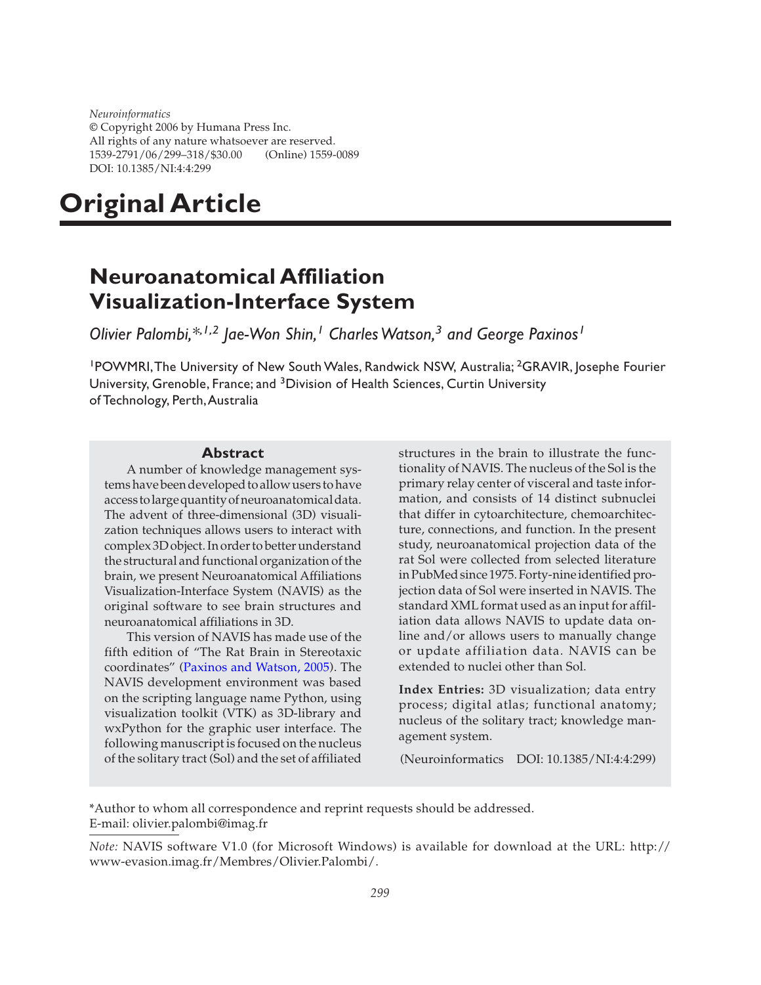*Neuroinformatics* © Copyright 2006 by Humana Press Inc. All rights of any nature whatsoever are reserved. 1539-2791/06/299–318/\$30.00 (Online) 1559-0089 DOI: 10.1385/NI:4:4:299

# **Original Article**

# **Neuroanatomical Affiliation Visualization-Interface System**

*Olivier Palombi,\*,1,2 Jae-Won Shin,<sup>1</sup> Charles Watson,<sup>3</sup> and George Paxinos<sup>1</sup>*

<sup>1</sup>POWMRI, The University of New South Wales, Randwick NSW, Australia; <sup>2</sup>GRAVIR, Josephe Fourier University, Grenoble, France; and 3Division of Health Sciences, Curtin University of Technology, Perth,Australia

#### **Abstract**

A number of knowledge management systems have been developed to allow users to have access to large quantity of neuroanatomical data. The advent of three-dimensional (3D) visualization techniques allows users to interact with complex 3D object. In order to better understand the structural and functional organization of the brain, we present Neuroanatomical Affiliations Visualization-Interface System (NAVIS) as the original software to see brain structures and neuroanatomical affiliations in 3D.

This version of NAVIS has made use of the fifth edition of "The Rat Brain in Stereotaxic coordinates" [\(Paxinos and Watson, 2005\).](#page-17-0) The NAVIS development environment was based on the scripting language name Python, using visualization toolkit (VTK) as 3D-library and wxPython for the graphic user interface. The following manuscript is focused on the nucleus of the solitary tract (Sol) and the set of affiliated

structures in the brain to illustrate the functionality of NAVIS. The nucleus of the Sol is the primary relay center of visceral and taste information, and consists of 14 distinct subnuclei that differ in cytoarchitecture, chemoarchitecture, connections, and function. In the present study, neuroanatomical projection data of the rat Sol were collected from selected literature in PubMed since 1975. Forty-nine identified projection data of Sol were inserted in NAVIS. The standard XML format used as an input for affiliation data allows NAVIS to update data online and/or allows users to manually change or update affiliation data. NAVIS can be extended to nuclei other than Sol.

**Index Entries:** 3D visualization; data entry process; digital atlas; functional anatomy; nucleus of the solitary tract; knowledge management system.

(Neuroinformatics DOI: 10.1385/NI:4:4:299)

\*Author to whom all correspondence and reprint requests should be addressed. E-mail: olivier.palombi@imag.fr

*Note:* NAVIS software V1.0 (for Microsoft Windows) is available for download at the URL: [http://](http://www-evasion.imag.fr/Membres/Olivier.Palombi/) [www-evasion.imag.fr/Membres/Olivier.Palombi/](http://www-evasion.imag.fr/Membres/Olivier.Palombi/).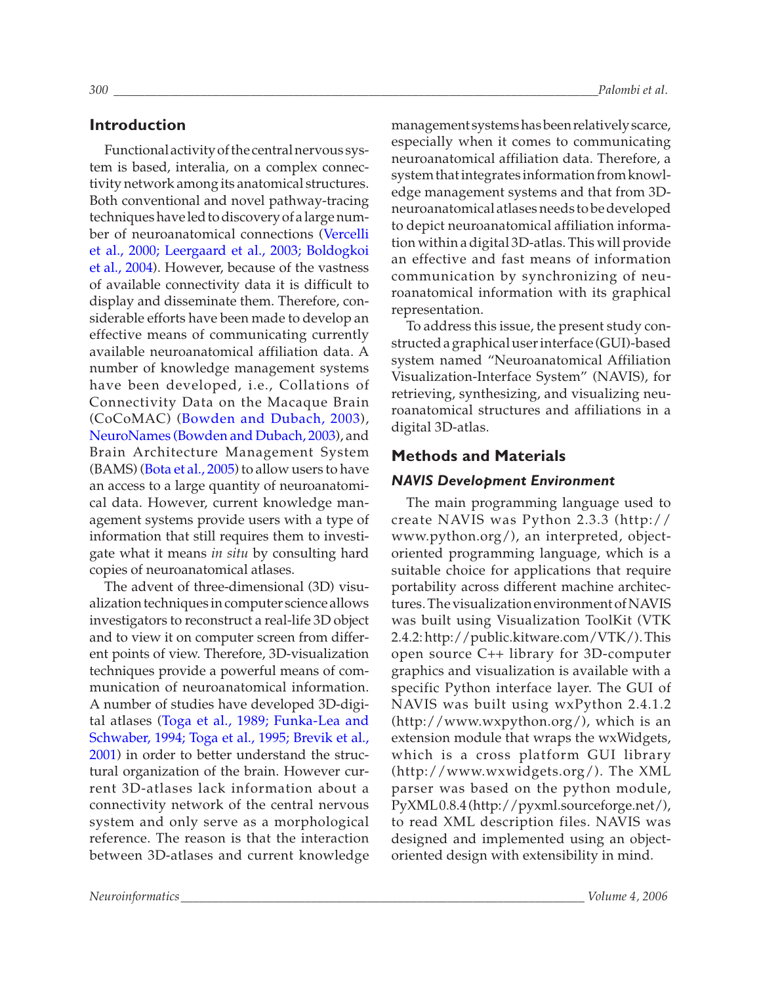### **Introduction**

Functional activity of the central nervous system is based, interalia, on a complex connectivity network among its anatomical structures. Both conventional and novel pathway-tracing techniques have led to discovery of a large number of neuroanatomical connections [\(Vercelli](#page-17-0) [et al., 2000; Leergaard et al., 2003; Boldogkoi](#page-17-0) [et al., 2004\).](#page-17-0) However, because of the vastness of available connectivity data it is difficult to display and disseminate them. Therefore, considerable efforts have been made to develop an effective means of communicating currently available neuroanatomical affiliation data. A number of knowledge management systems have been developed, i.e., Collations of Connectivity Data on the Macaque Brain (CoCoMAC) [\(Bowden and Dubach, 2003\),](#page-17-0) [NeuroNames \(Bowden and Dubach, 2003\),](#page-17-0) and Brain Architecture Management System (BAMS) [\(Bota et al., 2005\)](#page-17-0) to allow users to have an access to a large quantity of neuroanatomical data. However, current knowledge management systems provide users with a type of information that still requires them to investigate what it means *in situ* by consulting hard copies of neuroanatomical atlases.

The advent of three-dimensional (3D) visualization techniques in computer science allows investigators to reconstruct a real-life 3D object and to view it on computer screen from different points of view. Therefore, 3D-visualization techniques provide a powerful means of communication of neuroanatomical information. A number of studies have developed 3D-digital atlases [\(Toga et al., 1989;](#page-18-0) [Funka-Lea and](#page-17-0) [Schwaber, 1994](#page-17-0); [Toga et al., 1995;](#page-18-0) [Brevik et al.,](#page-17-0) [2001\)](#page-17-0) in order to better understand the structural organization of the brain. However current 3D-atlases lack information about a connectivity network of the central nervous system and only serve as a morphological reference. The reason is that the interaction between 3D-atlases and current knowledge

management systems has been relatively scarce, especially when it comes to communicating neuroanatomical affiliation data. Therefore, a system that integrates information from knowledge management systems and that from 3Dneuroanatomical atlases needs to be developed to depict neuroanatomical affiliation information within a digital 3D-atlas. This will provide an effective and fast means of information communication by synchronizing of neuroanatomical information with its graphical representation.

To address this issue, the present study constructed a graphical user interface (GUI)-based system named "Neuroanatomical Affiliation Visualization-Interface System" (NAVIS), for retrieving, synthesizing, and visualizing neuroanatomical structures and affiliations in a digital 3D-atlas.

### **Methods and Materials**

### *NAVIS Development Environment*

The main programming language used to create NAVIS was Python 2.3.3 ([http://](http://www.python.org/) [www.python.org/](http://www.python.org/)), an interpreted, objectoriented programming language, which is a suitable choice for applications that require portability across different machine architectures. The visualization environment of NAVIS was built using Visualization ToolKit (VTK 2.4.2: [http://public.kitware.com/VTK/\)](http://public.kitware.com/VTK/). This open source C++ library for 3D-computer graphics and visualization is available with a specific Python interface layer. The GUI of NAVIS was built using wxPython 2.4.1.2 (<http://www.wxpython.org/>), which is an extension module that wraps the wxWidgets, which is a cross platform GUI library (<http://www.wxwidgets.org/>). The XML parser was based on the python module, PyXML0.8.4 ([http://pyxml.sourceforge.net/\)](http://pyxml.sourceforge.net/), to read XML description files. NAVIS was designed and implemented using an objectoriented design with extensibility in mind.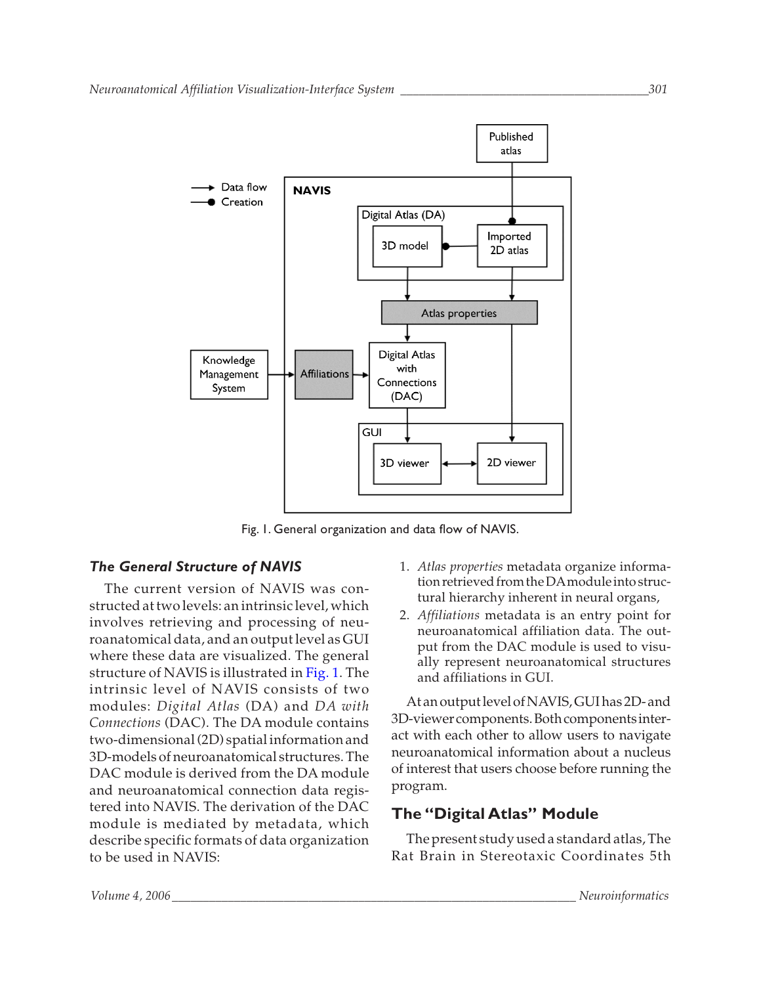

Fig. 1. General organization and data flow of NAVIS.

# *The General Structure of NAVIS*

The current version of NAVIS was constructed at two levels: an intrinsic level, which involves retrieving and processing of neuroanatomical data, and an output level as GUI where these data are visualized. The general structure of NAVIS is illustrated in Fig. 1. The intrinsic level of NAVIS consists of two modules: *Digital Atlas* (DA) and *DA with Connections* (DAC). The DA module contains two-dimensional (2D) spatial information and 3D-models of neuroanatomical structures. The DAC module is derived from the DA module and neuroanatomical connection data registered into NAVIS. The derivation of the DAC module is mediated by metadata, which describe specific formats of data organization to be used in NAVIS:

- 1. *Atlas properties* metadata organize information retrieved from the DAmodule into structural hierarchy inherent in neural organs,
- 2. *Affiliations* metadata is an entry point for neuroanatomical affiliation data. The output from the DAC module is used to visually represent neuroanatomical structures and affiliations in GUI.

At an output level of NAVIS, GUI has 2D- and 3D-viewer components. Both components interact with each other to allow users to navigate neuroanatomical information about a nucleus of interest that users choose before running the program.

# **The "Digital Atlas" Module**

The present study used a standard atlas, The Rat Brain in Stereotaxic Coordinates 5th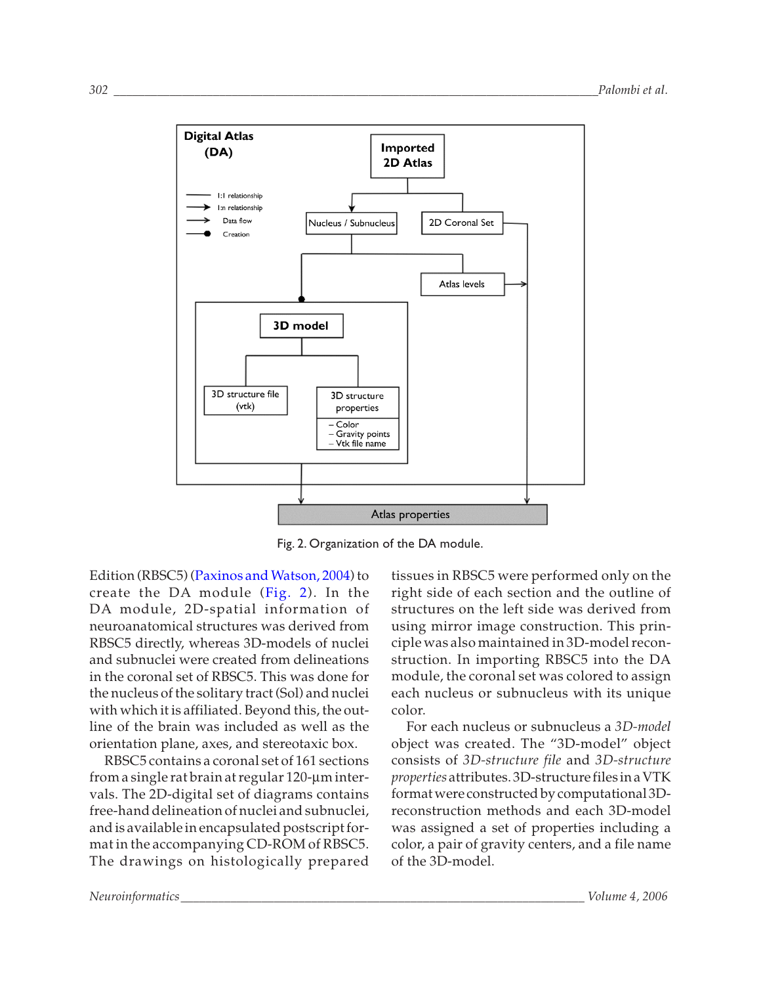

Fig. 2. Organization of the DA module.

Edition (RBSC5) [\(Paxinos and Watson, 2004\)](#page-17-0) to create the DA module (Fig. 2). In the DA module, 2D-spatial information of neuroanatomical structures was derived from RBSC5 directly, whereas 3D-models of nuclei and subnuclei were created from delineations in the coronal set of RBSC5. This was done for the nucleus of the solitary tract (Sol) and nuclei with which it is affiliated. Beyond this, the outline of the brain was included as well as the orientation plane, axes, and stereotaxic box.

RBSC5 contains a coronal set of 161 sections from a single rat brain at regular 120-µm intervals. The 2D-digital set of diagrams contains free-hand delineation of nuclei and subnuclei, and is available in encapsulated postscript format in the accompanying CD-ROM of RBSC5. The drawings on histologically prepared

tissues in RBSC5 were performed only on the right side of each section and the outline of structures on the left side was derived from using mirror image construction. This principle was also maintained in 3D-model reconstruction. In importing RBSC5 into the DA module, the coronal set was colored to assign each nucleus or subnucleus with its unique color.

For each nucleus or subnucleus a *3D-model* object was created. The "3D-model" object consists of *3D-structure file* and *3D-structure properties* attributes. 3D-structure files in a VTK format were constructed by computational 3Dreconstruction methods and each 3D-model was assigned a set of properties including a color, a pair of gravity centers, and a file name of the 3D-model.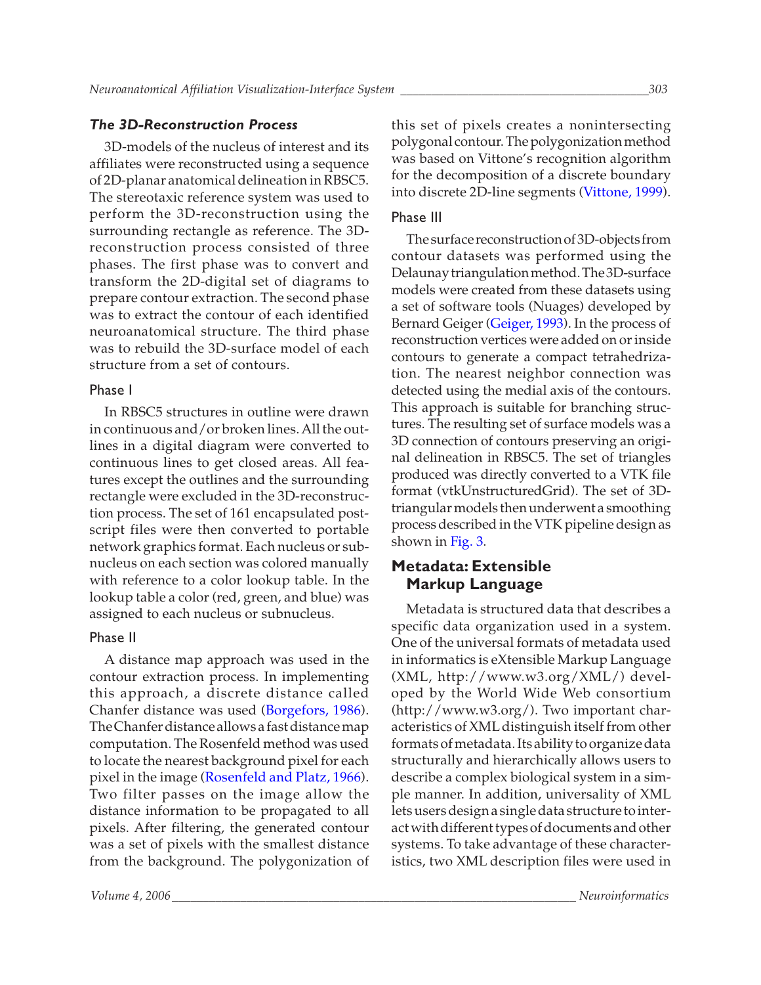### *The 3D-Reconstruction Process*

3D-models of the nucleus of interest and its affiliates were reconstructed using a sequence of 2D-planar anatomical delineation in RBSC5. The stereotaxic reference system was used to perform the 3D-reconstruction using the surrounding rectangle as reference. The 3Dreconstruction process consisted of three phases. The first phase was to convert and transform the 2D-digital set of diagrams to prepare contour extraction. The second phase was to extract the contour of each identified neuroanatomical structure. The third phase was to rebuild the 3D-surface model of each structure from a set of contours.

### Phase I

In RBSC5 structures in outline were drawn in continuous and/or broken lines. All the outlines in a digital diagram were converted to continuous lines to get closed areas. All features except the outlines and the surrounding rectangle were excluded in the 3D-reconstruction process. The set of 161 encapsulated postscript files were then converted to portable network graphics format. Each nucleus or subnucleus on each section was colored manually with reference to a color lookup table. In the lookup table a color (red, green, and blue) was assigned to each nucleus or subnucleus.

### Phase II

A distance map approach was used in the contour extraction process. In implementing this approach, a discrete distance called Chanfer distance was used [\(Borgefors, 1986\).](#page-17-0) The Chanfer distance allows a fast distance map computation. The Rosenfeld method was used to locate the nearest background pixel for each pixel in the image [\(Rosenfeld and Platz, 1966\).](#page-18-0) Two filter passes on the image allow the distance information to be propagated to all pixels. After filtering, the generated contour was a set of pixels with the smallest distance from the background. The polygonization of this set of pixels creates a nonintersecting polygonal contour. The polygonization method was based on Vittone's recognition algorithm for the decomposition of a discrete boundary into discrete 2D-line segments [\(Vittone, 1999\).](#page-17-0)

### Phase III

The surface reconstruction of 3D-objects from contour datasets was performed using the Delaunay triangulation method. The 3D-surface models were created from these datasets using a set of software tools (Nuages) developed by Bernard Geiger [\(Geiger, 1993\).](#page-17-0) In the process of reconstruction vertices were added on or inside contours to generate a compact tetrahedrization. The nearest neighbor connection was detected using the medial axis of the contours. This approach is suitable for branching structures. The resulting set of surface models was a 3D connection of contours preserving an original delineation in RBSC5. The set of triangles produced was directly converted to a VTK file format (vtkUnstructuredGrid). The set of 3Dtriangular models then underwent a smoothing process described in the VTK pipeline design as shown in [Fig. 3.](#page-5-0)

# **Metadata: Extensible Markup Language**

Metadata is structured data that describes a specific data organization used in a system. One of the universal formats of metadata used in informatics is eXtensible Markup Language (XML, <http://www.w3.org/XML/>) developed by the World Wide Web consortium ([http://www.w3.org/\)](http://www.w3.org/). Two important characteristics of XML distinguish itself from other formats of metadata. Its ability to organize data structurally and hierarchically allows users to describe a complex biological system in a simple manner. In addition, universality of XML lets users design a single data structure to interact with different types of documents and other systems. To take advantage of these characteristics, two XML description files were used in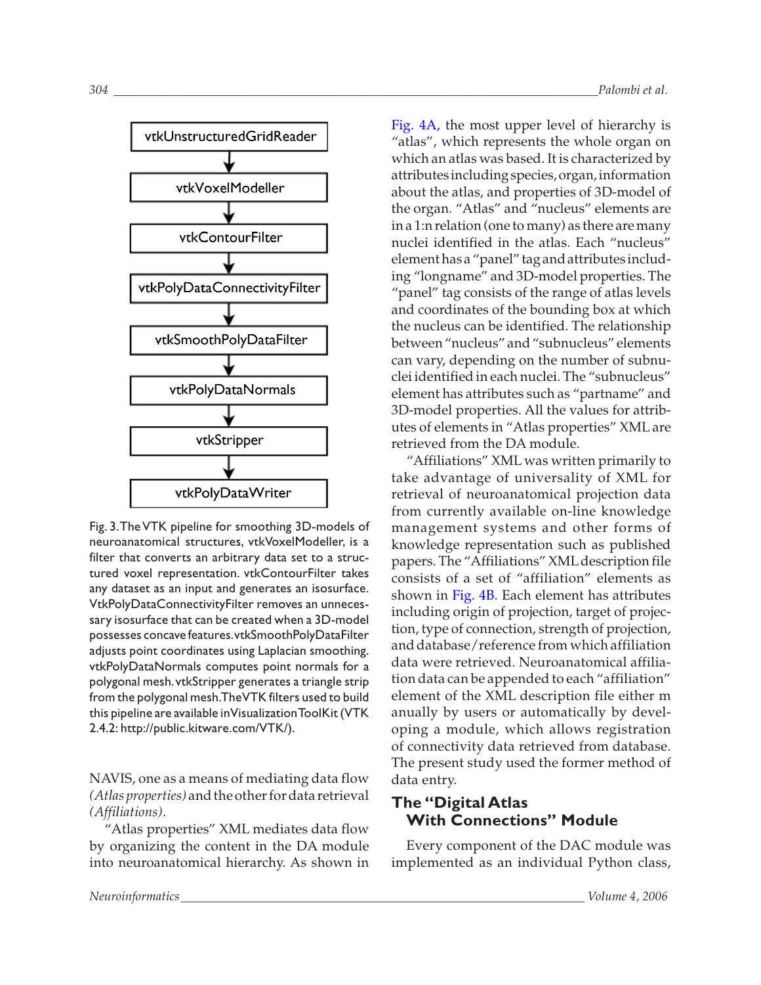<span id="page-5-0"></span>

Fig. 3.The VTK pipeline for smoothing 3D-models of neuroanatomical structures, vtkVoxelModeller, is a filter that converts an arbitrary data set to a structured voxel representation. vtkContourFilter takes any dataset as an input and generates an isosurface. VtkPolyDataConnectivityFilter removes an unnecessary isosurface that can be created when a 3D-model possesses concave features.vtkSmoothPolyDataFilter adjusts point coordinates using Laplacian smoothing. vtkPolyDataNormals computes point normals for a polygonal mesh.vtkStripper generates a triangle strip from the polygonal mesh.The VTK filters used to build this pipeline are available in Visualization ToolKit (VTK 2.4.2: [http://public.kitware.com/VTK/\)](http://public.kitware.com/VTK/).

NAVIS, one as a means of mediating data flow *(Atlas properties)* and the other for data retrieval *(Affiliations)*.

"Atlas properties" XML mediates data flow by organizing the content in the DA module into neuroanatomical hierarchy. As shown in

[Fig. 4A,](#page-6-0) the most upper level of hierarchy is "atlas", which represents the whole organ on which an atlas was based. It is characterized by attributes including species, organ, information about the atlas, and properties of 3D-model of the organ. "Atlas" and "nucleus" elements are in a 1:n relation (one to many) as there are many nuclei identified in the atlas. Each "nucleus" element has a "panel" tag and attributes including "longname" and 3D-model properties. The "panel" tag consists of the range of atlas levels and coordinates of the bounding box at which the nucleus can be identified. The relationship between "nucleus" and "subnucleus" elements can vary, depending on the number of subnuclei identified in each nuclei. The "subnucleus" element has attributes such as "partname" and 3D-model properties. All the values for attributes of elements in "Atlas properties" XML are retrieved from the DA module.

"Affiliations" XML was written primarily to take advantage of universality of XML for retrieval of neuroanatomical projection data from currently available on-line knowledge management systems and other forms of knowledge representation such as published papers. The "Affiliations" XML description file consists of a set of "affiliation" elements as shown in [Fig. 4B.](#page-6-0) Each element has attributes including origin of projection, target of projection, type of connection, strength of projection, and database/reference from which affiliation data were retrieved. Neuroanatomical affiliation data can be appended to each "affiliation" element of the XML description file either m anually by users or automatically by developing a module, which allows registration of connectivity data retrieved from database. The present study used the former method of data entry.

# **The "Digital Atlas With Connections" Module**

Every component of the DAC module was implemented as an individual Python class,

*Neuroinformatics\_\_\_\_\_\_\_\_\_\_\_\_\_\_\_\_\_\_\_\_\_\_\_\_\_\_\_\_\_\_\_\_\_\_\_\_\_\_\_\_\_\_\_\_\_\_\_\_\_\_\_\_\_\_\_\_\_\_\_\_\_\_\_\_\_ Volume 4, 2006*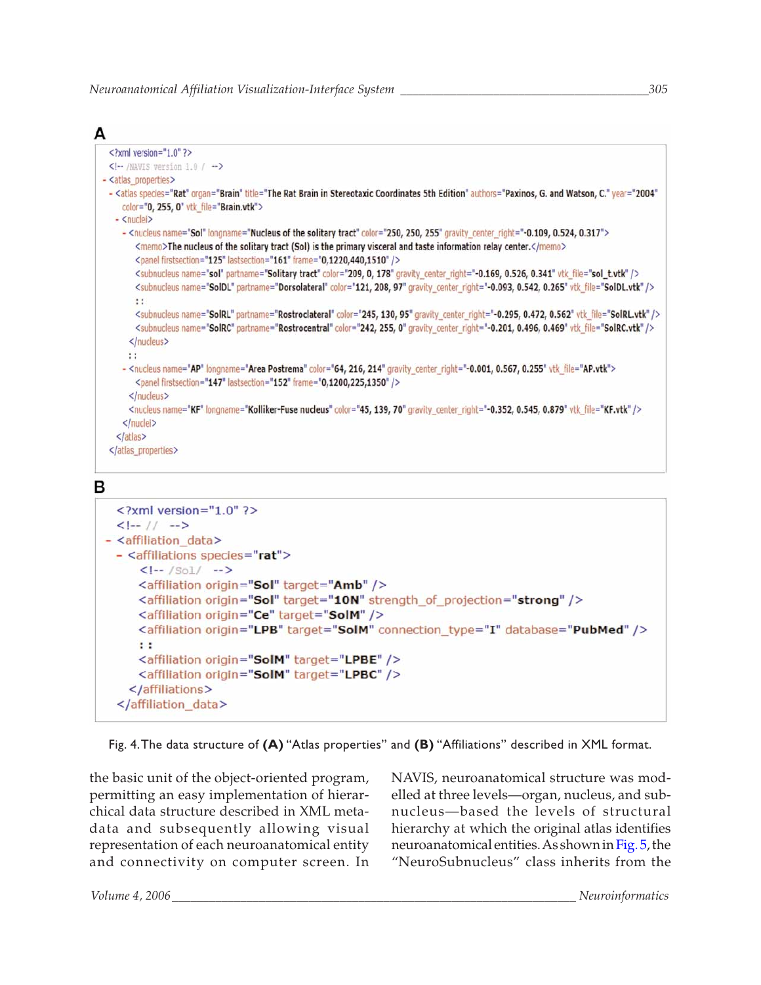<span id="page-6-0"></span>

```
\frac{2}{x} <?xml version="1.0" ?>
  <!-- /NAVIS version 1.0 / -->
- <atlas_properties>
 - <atlas species="Rat" organ="Brain" title="The Rat Brain in Stereotaxic Coordinates 5th Edition" authors="Paxinos, G. and Watson, C." year="2004"
     color="0, 255, 0" vtk file="Brain.vtk">
   - <nuclei>
     - <nucleus name="Sol" longname="Nucleus of the solitary tract" color="250, 250, 255" gravity_center_right="-0.109, 0.524, 0.317">
         <memo>The nucleus of the solitary tract (Sol) is the primary visceral and taste information relay center.</memo>
        <panel firstsection="125" lastsection="161" frame="0,1220,440,1510" />
        <subnucleus name="sol" partname="Solitary tract" color="209, 0, 178" gravity_center_right="-0.169, 0.526, 0.341" vtk_file="sol_t.vtk" />
        <subnucleus name="SolDL" partname="Dorsolateral" color="121, 208, 97" gravity_center_right="-0.093, 0.542, 0.265" vtk_file="SolDL.vtk" />
        \mathbf{H}<subnucleus name="SolRL" partname="Rostroclateral" color="245, 130, 95" gravity_center_right="-0.295, 0.472, 0.562" vtk_file="SolRL.vtk" />
         <subnucleus name="SolRC" partname="Rostrocentral" color="242, 255, 0" gravity_center_right="-0.201, 0.496, 0.469" vtk_file="SolRC.vtk" />
       </nucleus>
      \mathbf{H}- <nucleus name="AP" longname="Area Postrema" color="64, 216, 214" gravity_center_right="-0.001, 0.567, 0.255" vtk_file="AP.vtk">
        <panel firstsection="147" lastsection="152" frame="0,1200,225,1350" />
       </nucleus>
       <nucleus name="KF" longname="Kolliker-Fuse nucleus" color="45, 139, 70" gravity center right="-0.352, 0.545, 0.879" vtk file="KF.vtk" />
     </nuclei>
    </atlas>
  </atlas_properties>
```
# В

```
<?xml version="1.0" ?>
  <|- // -->
- <affiliation_data>
 - <affiliations species="rat">
     \leftarrow /Sol/ -->
     <affiliation origin="Sol" target="Amb" />
     <affiliation origin="Sol" target="10N" strength_of_projection="strong" />
     <affiliation origin="Ce" target="SolM" />
     <affiliation origin="LPB" target="SolM" connection_type="I" database="PubMed" />
     : :<affiliation origin="SolM" target="LPBE" />
     <affiliation origin="SolM" target="LPBC" />
    </affiliations>
  </affiliation_data>
```
Fig. 4.The data structure of **(A)** "Atlas properties" and **(B)** "Affiliations" described in XML format.

the basic unit of the object-oriented program, permitting an easy implementation of hierarchical data structure described in XML metadata and subsequently allowing visual representation of each neuroanatomical entity and connectivity on computer screen. In NAVIS, neuroanatomical structure was modelled at three levels—organ, nucleus, and subnucleus—based the levels of structural hierarchy at which the original atlas identifies neuroanatomical entities. As shown in [Fig. 5,](#page-7-0) the "NeuroSubnucleus" class inherits from the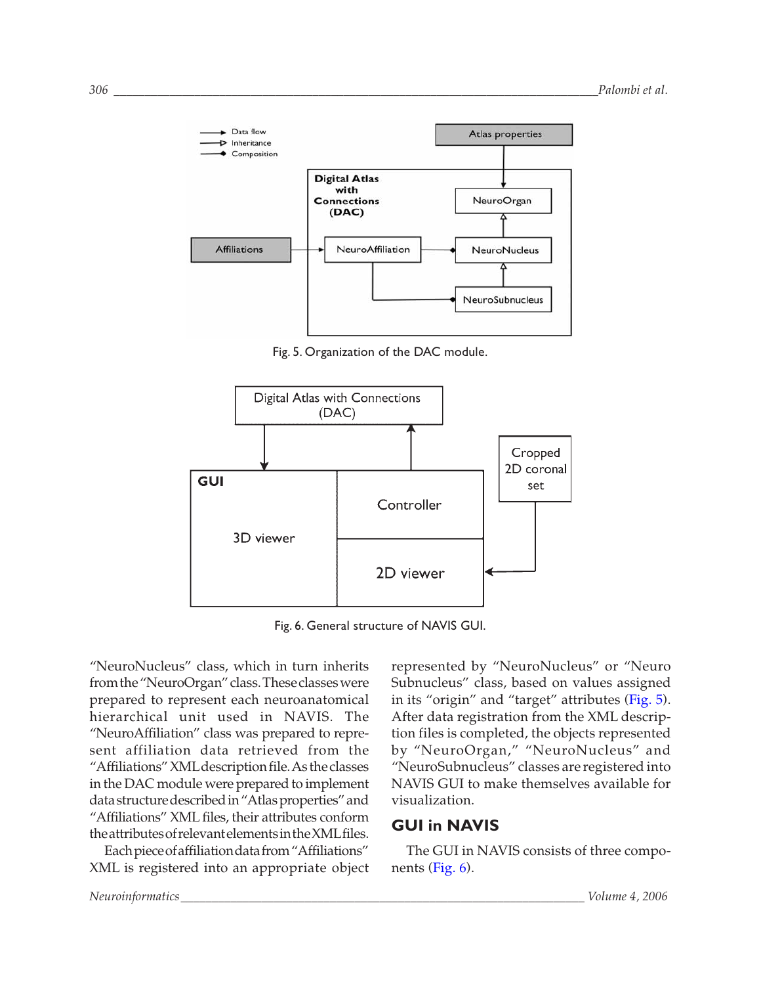<span id="page-7-0"></span>

Fig. 5. Organization of the DAC module.



Fig. 6. General structure of NAVIS GUI.

"NeuroNucleus" class, which in turn inherits from the "NeuroOrgan" class. These classes were prepared to represent each neuroanatomical hierarchical unit used in NAVIS. The "NeuroAffiliation" class was prepared to represent affiliation data retrieved from the "Affiliations" XMLdescription file. As the classes in the DAC module were prepared to implement data structure described in "Atlas properties" and "Affiliations" XML files, their attributes conform the attributes of relevant elements in the XMLfiles.

Each piece of affiliation data from "Affiliations" XML is registered into an appropriate object

represented by "NeuroNucleus" or "Neuro Subnucleus" class, based on values assigned in its "origin" and "target" attributes (Fig. 5). After data registration from the XML description files is completed, the objects represented by "NeuroOrgan," "NeuroNucleus" and "NeuroSubnucleus" classes are registered into NAVIS GUI to make themselves available for visualization.

# **GUI in NAVIS**

The GUI in NAVIS consists of three components (Fig. 6).

*Neuroinformatics\_\_\_\_\_\_\_\_\_\_\_\_\_\_\_\_\_\_\_\_\_\_\_\_\_\_\_\_\_\_\_\_\_\_\_\_\_\_\_\_\_\_\_\_\_\_\_\_\_\_\_\_\_\_\_\_\_\_\_\_\_\_\_\_\_ Volume 4, 2006*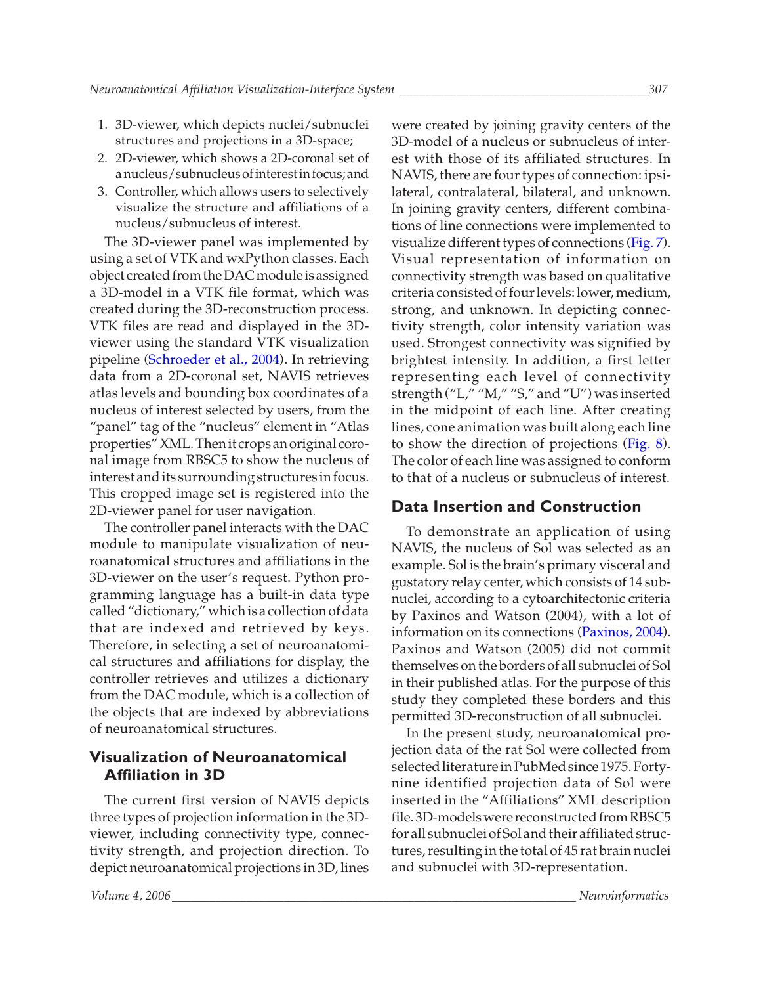- 1. 3D-viewer, which depicts nuclei/subnuclei structures and projections in a 3D-space;
- 2. 2D-viewer, which shows a 2D-coronal set of a nucleus/subnucleus of interest in focus; and
- 3. Controller, which allows users to selectively visualize the structure and affiliations of a nucleus/subnucleus of interest.

The 3D-viewer panel was implemented by using a set of VTK and wxPython classes. Each object created from the DAC module is assigned a 3D-model in a VTK file format, which was created during the 3D-reconstruction process. VTK files are read and displayed in the 3Dviewer using the standard VTK visualization pipeline [\(Schroeder et al., 2004\).](#page-18-0) In retrieving data from a 2D-coronal set, NAVIS retrieves atlas levels and bounding box coordinates of a nucleus of interest selected by users, from the "panel" tag of the "nucleus" element in "Atlas properties" XML. Then it crops an original coronal image from RBSC5 to show the nucleus of interest and its surrounding structures in focus. This cropped image set is registered into the 2D-viewer panel for user navigation.

The controller panel interacts with the DAC module to manipulate visualization of neuroanatomical structures and affiliations in the 3D-viewer on the user's request. Python programming language has a built-in data type called "dictionary," which is a collection of data that are indexed and retrieved by keys. Therefore, in selecting a set of neuroanatomical structures and affiliations for display, the controller retrieves and utilizes a dictionary from the DAC module, which is a collection of the objects that are indexed by abbreviations of neuroanatomical structures.

# **Visualization of Neuroanatomical Affiliation in 3D**

The current first version of NAVIS depicts three types of projection information in the 3Dviewer, including connectivity type, connectivity strength, and projection direction. To depict neuroanatomical projections in 3D, lines were created by joining gravity centers of the 3D-model of a nucleus or subnucleus of interest with those of its affiliated structures. In NAVIS, there are four types of connection: ipsilateral, contralateral, bilateral, and unknown. In joining gravity centers, different combinations of line connections were implemented to visualize different types of connections [\(Fig. 7\).](#page-9-0) Visual representation of information on connectivity strength was based on qualitative criteria consisted of four levels: lower, medium, strong, and unknown. In depicting connectivity strength, color intensity variation was used. Strongest connectivity was signified by brightest intensity. In addition, a first letter representing each level of connectivity strength ("L," "M," "S," and "U") was inserted in the midpoint of each line. After creating lines, cone animation was built along each line to show the direction of projections [\(Fig. 8\).](#page-10-0) The color of each line was assigned to conform to that of a nucleus or subnucleus of interest.

### **Data Insertion and Construction**

To demonstrate an application of using NAVIS, the nucleus of Sol was selected as an example. Sol is the brain's primary visceral and gustatory relay center, which consists of 14 subnuclei, according to a cytoarchitectonic criteria by Paxinos and Watson (2004), with a lot of information on its connections [\(Paxinos, 2004\).](#page-17-0) Paxinos and Watson (2005) did not commit themselves on the borders of all subnuclei of Sol in their published atlas. For the purpose of this study they completed these borders and this permitted 3D-reconstruction of all subnuclei.

In the present study, neuroanatomical projection data of the rat Sol were collected from selected literature in PubMed since 1975. Fortynine identified projection data of Sol were inserted in the "Affiliations" XML description file. 3D-models were reconstructed from RBSC5 for all subnuclei of Sol and their affiliated structures, resulting in the total of 45 rat brain nuclei and subnuclei with 3D-representation.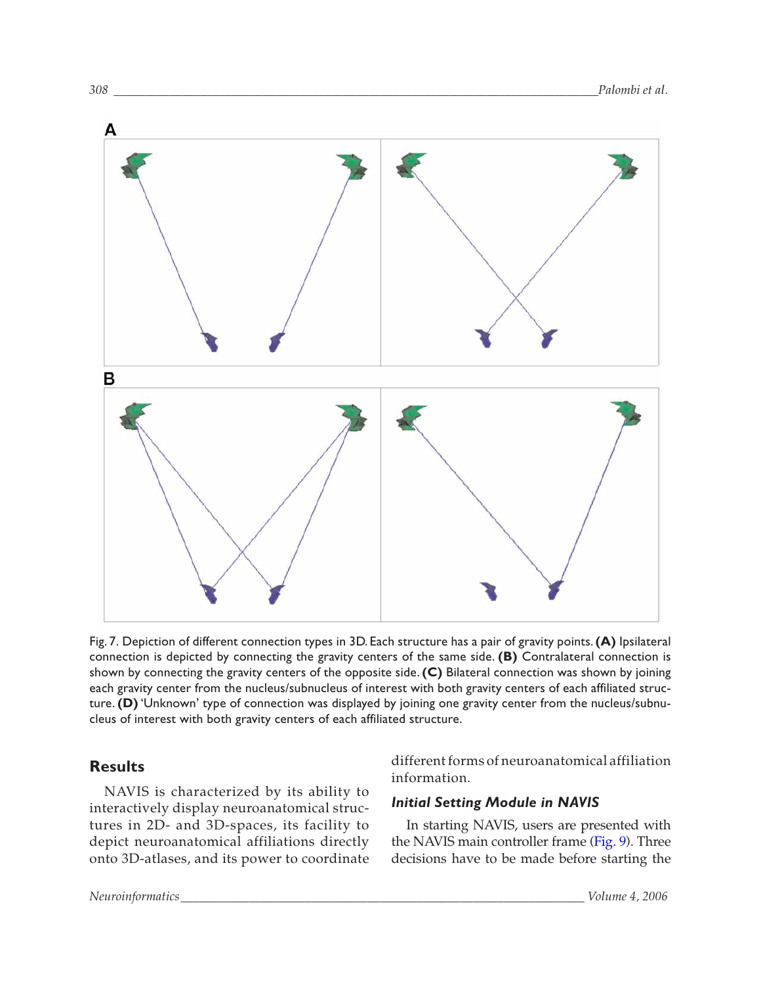<span id="page-9-0"></span>

Fig. 7. Depiction of different connection types in 3D. Each structure has a pair of gravity points.**(A)** Ipsilateral connection is depicted by connecting the gravity centers of the same side. **(B)** Contralateral connection is shown by connecting the gravity centers of the opposite side.**(C)** Bilateral connection was shown by joining each gravity center from the nucleus/subnucleus of interest with both gravity centers of each affiliated structure.**(D)**'Unknown' type of connection was displayed by joining one gravity center from the nucleus/subnucleus of interest with both gravity centers of each affiliated structure.

# **Results**

NAVIS is characterized by its ability to interactively display neuroanatomical structures in 2D- and 3D-spaces, its facility to depict neuroanatomical affiliations directly onto 3D-atlases, and its power to coordinate different forms of neuroanatomical affiliation information.

# *Initial Setting Module in NAVIS*

In starting NAVIS, users are presented with the NAVIS main controller frame [\(Fig. 9\).](#page-11-0) Three decisions have to be made before starting the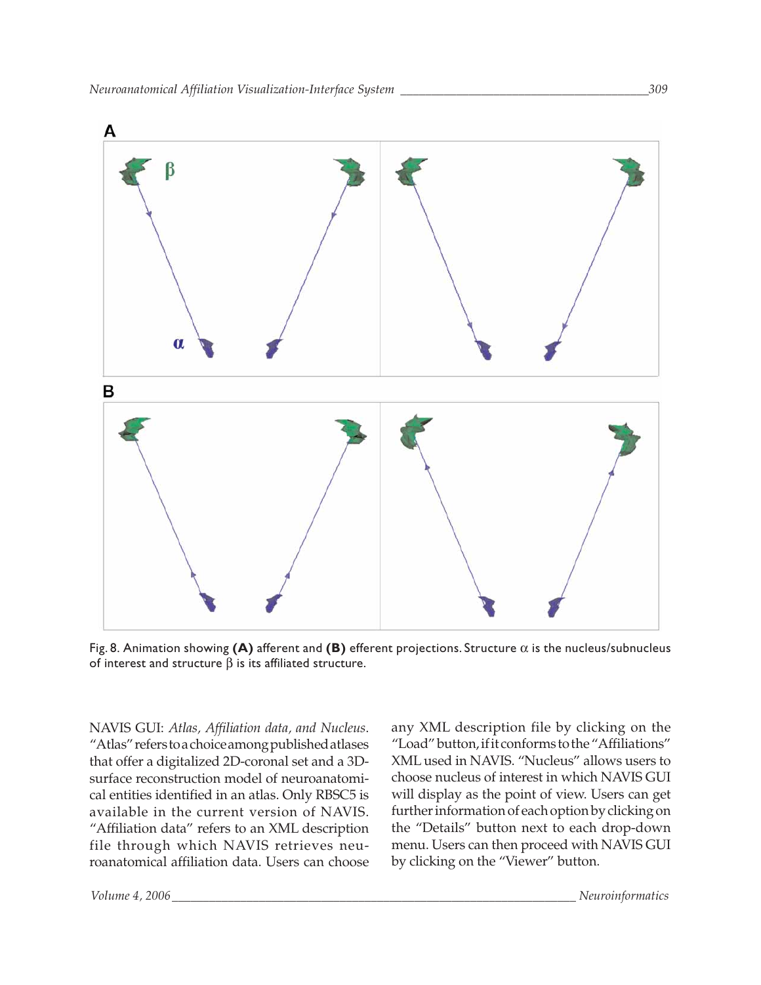<span id="page-10-0"></span>

Fig. 8. Animation showing **(A)** afferent and **(B)** efferent projections. Structure α is the nucleus/subnucleus of interest and structure  $β$  is its affiliated structure.

NAVIS GUI: *Atlas, Affiliation data, and Nucleus*. "Atlas" refers to a choice among published atlases that offer a digitalized 2D-coronal set and a 3Dsurface reconstruction model of neuroanatomical entities identified in an atlas. Only RBSC5 is available in the current version of NAVIS. "Affiliation data" refers to an XML description file through which NAVIS retrieves neuroanatomical affiliation data. Users can choose

any XML description file by clicking on the "Load" button, if it conforms to the "Affiliations" XML used in NAVIS. "Nucleus" allows users to choose nucleus of interest in which NAVIS GUI will display as the point of view. Users can get further information of each option by clicking on the "Details" button next to each drop-down menu. Users can then proceed with NAVIS GUI by clicking on the "Viewer" button.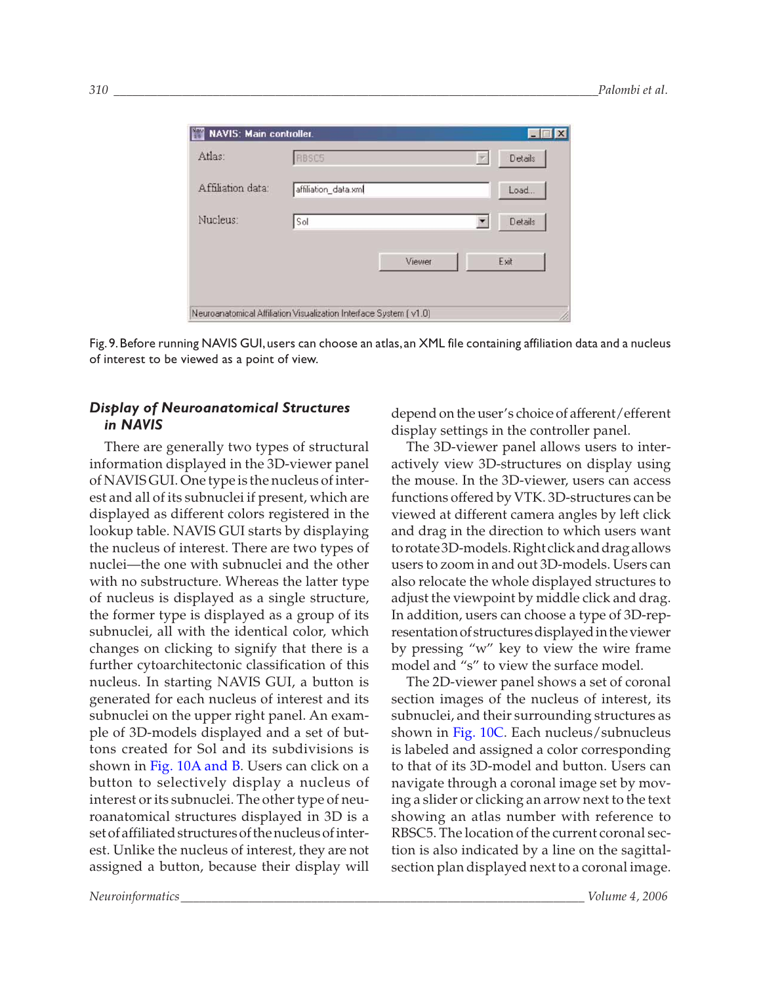<span id="page-11-0"></span>

| Atlas:            | RBSC5                |        | Details      |
|-------------------|----------------------|--------|--------------|
| Affiliation data: | affiliation_data.xml |        | Load         |
| Nucleus:          | Sol                  |        | Details<br>▼ |
|                   |                      | Viewer | Exit         |

Fig.9.Before running NAVIS GUI,users can choose an atlas,an XML file containing affiliation data and a nucleus of interest to be viewed as a point of view.

### *Display of Neuroanatomical Structures in NAVIS*

There are generally two types of structural information displayed in the 3D-viewer panel of NAVIS GUI. One type is the nucleus of interest and all of its subnuclei if present, which are displayed as different colors registered in the lookup table. NAVIS GUI starts by displaying the nucleus of interest. There are two types of nuclei—the one with subnuclei and the other with no substructure. Whereas the latter type of nucleus is displayed as a single structure, the former type is displayed as a group of its subnuclei, all with the identical color, which changes on clicking to signify that there is a further cytoarchitectonic classification of this nucleus. In starting NAVIS GUI, a button is generated for each nucleus of interest and its subnuclei on the upper right panel. An example of 3D-models displayed and a set of buttons created for Sol and its subdivisions is shown in [Fig. 10A and B.](#page-12-0) Users can click on a button to selectively display a nucleus of interest or its subnuclei. The other type of neuroanatomical structures displayed in 3D is a set of affiliated structures of the nucleus of interest. Unlike the nucleus of interest, they are not assigned a button, because their display will

depend on the user's choice of afferent/efferent display settings in the controller panel.

The 3D-viewer panel allows users to interactively view 3D-structures on display using the mouse. In the 3D-viewer, users can access functions offered by VTK. 3D-structures can be viewed at different camera angles by left click and drag in the direction to which users want to rotate 3D-models. Right click and drag allows users to zoom in and out 3D-models. Users can also relocate the whole displayed structures to adjust the viewpoint by middle click and drag. In addition, users can choose a type of 3D-representation of structures displayed in the viewer by pressing "w" key to view the wire frame model and "s" to view the surface model.

The 2D-viewer panel shows a set of coronal section images of the nucleus of interest, its subnuclei, and their surrounding structures as shown in [Fig. 10C.](#page-12-0) Each nucleus/subnucleus is labeled and assigned a color corresponding to that of its 3D-model and button. Users can navigate through a coronal image set by moving a slider or clicking an arrow next to the text showing an atlas number with reference to RBSC5. The location of the current coronal section is also indicated by a line on the sagittalsection plan displayed next to a coronal image.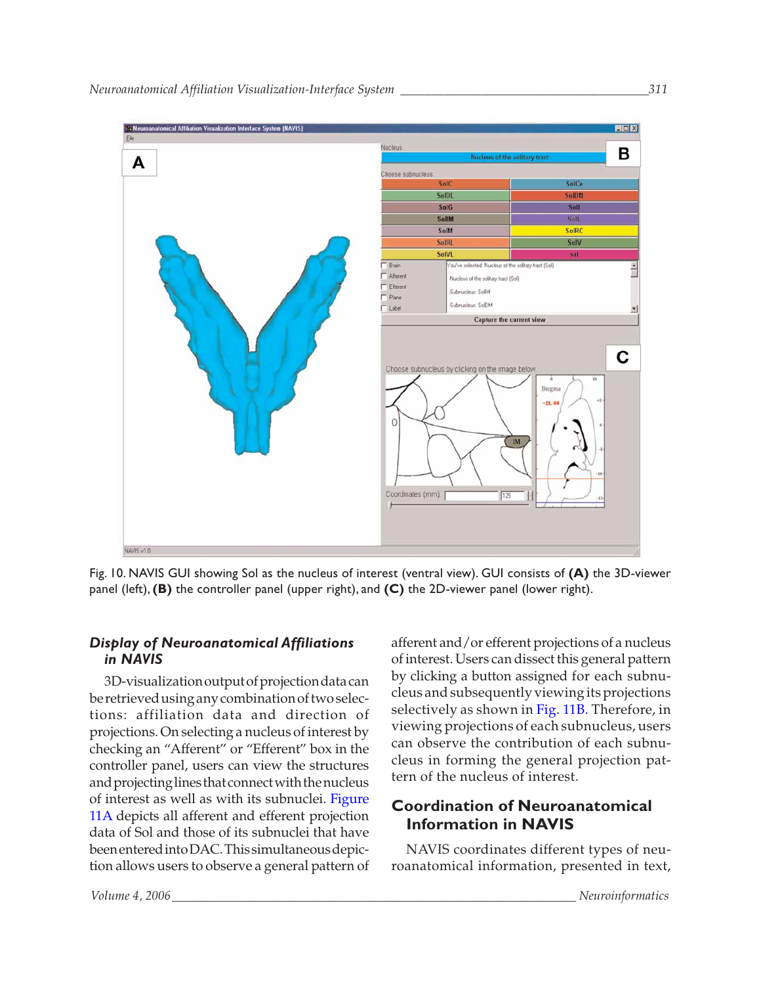<span id="page-12-0"></span>

Fig. 10. NAVIS GUI showing Sol as the nucleus of interest (ventral view). GUI consists of **(A)** the 3D-viewer panel (left),**(B)** the controller panel (upper right), and **(C)** the 2D-viewer panel (lower right).

# *Display of Neuroanatomical Affiliations in NAVIS*

3D-visualization output of projection data can be retrieved using any combination of two selections: affiliation data and direction of projections. On selecting a nucleus of interest by checking an "Afferent" or "Efferent" box in the controller panel, users can view the structures and projecting lines that connect with the nucleus of interest as well as with its subnuclei. [Figure](#page-13-0) [11A](#page-13-0) depicts all afferent and efferent projection data of Sol and those of its subnuclei that have been entered into DAC. This simultaneous depiction allows users to observe a general pattern of afferent and/or efferent projections of a nucleus of interest. Users can dissect this general pattern by clicking a button assigned for each subnucleus and subsequently viewing its projections selectively as shown in [Fig. 11B.](#page-13-0) Therefore, in viewing projections of each subnucleus, users can observe the contribution of each subnucleus in forming the general projection pattern of the nucleus of interest.

# **Coordination of Neuroanatomical Information in NAVIS**

NAVIS coordinates different types of neuroanatomical information, presented in text,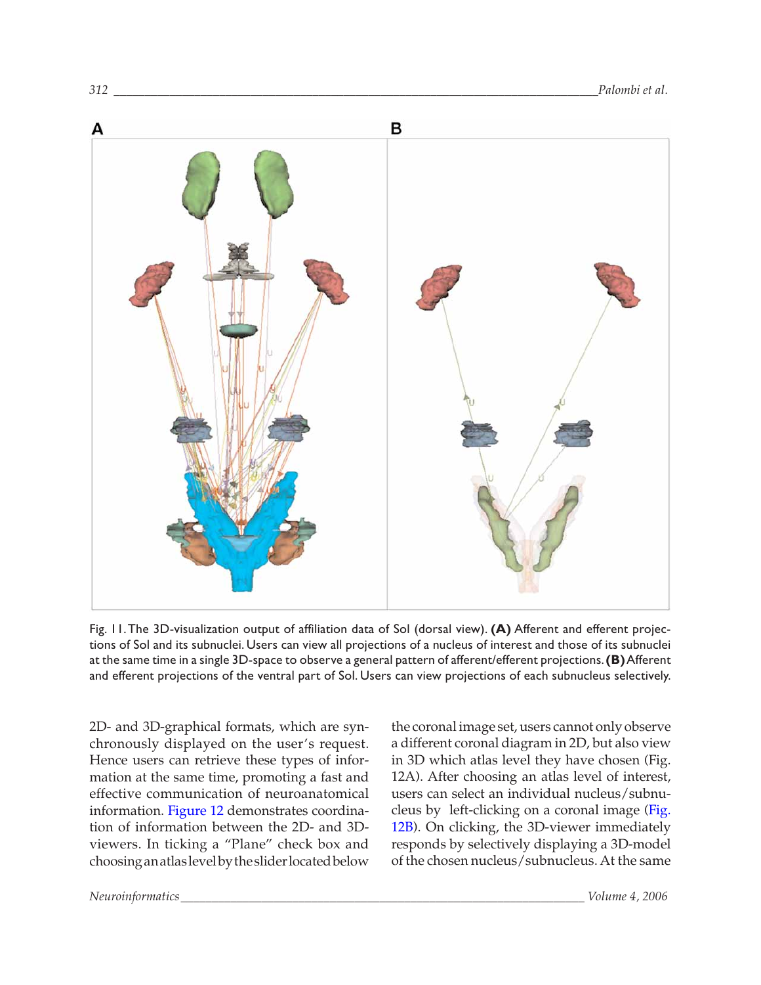<span id="page-13-0"></span>

Fig. 11.The 3D-visualization output of affiliation data of Sol (dorsal view). **(A)** Afferent and efferent projections of Sol and its subnuclei. Users can view all projections of a nucleus of interest and those of its subnuclei at the same time in a single 3D-space to observe a general pattern of afferent/efferent projections.**(B)**Afferent and efferent projections of the ventral part of Sol. Users can view projections of each subnucleus selectively.

2D- and 3D-graphical formats, which are synchronously displayed on the user's request. Hence users can retrieve these types of information at the same time, promoting a fast and effective communication of neuroanatomical information. [Figure 12](#page-14-0) demonstrates coordination of information between the 2D- and 3Dviewers. In ticking a "Plane" check box and choosing an atlas level by the slider located below

the coronal image set, users cannot only observe a different coronal diagram in 2D, but also view in 3D which atlas level they have chosen (Fig. 12A). After choosing an atlas level of interest, users can select an individual nucleus/subnucleus by left-clicking on a coronal image [\(Fig](#page-14-0). [12B\)](#page-14-0). On clicking, the 3D-viewer immediately responds by selectively displaying a 3D-model of the chosen nucleus/subnucleus. At the same

*Neuroinformatics\_\_\_\_\_\_\_\_\_\_\_\_\_\_\_\_\_\_\_\_\_\_\_\_\_\_\_\_\_\_\_\_\_\_\_\_\_\_\_\_\_\_\_\_\_\_\_\_\_\_\_\_\_\_\_\_\_\_\_\_\_\_\_\_\_ Volume 4, 2006*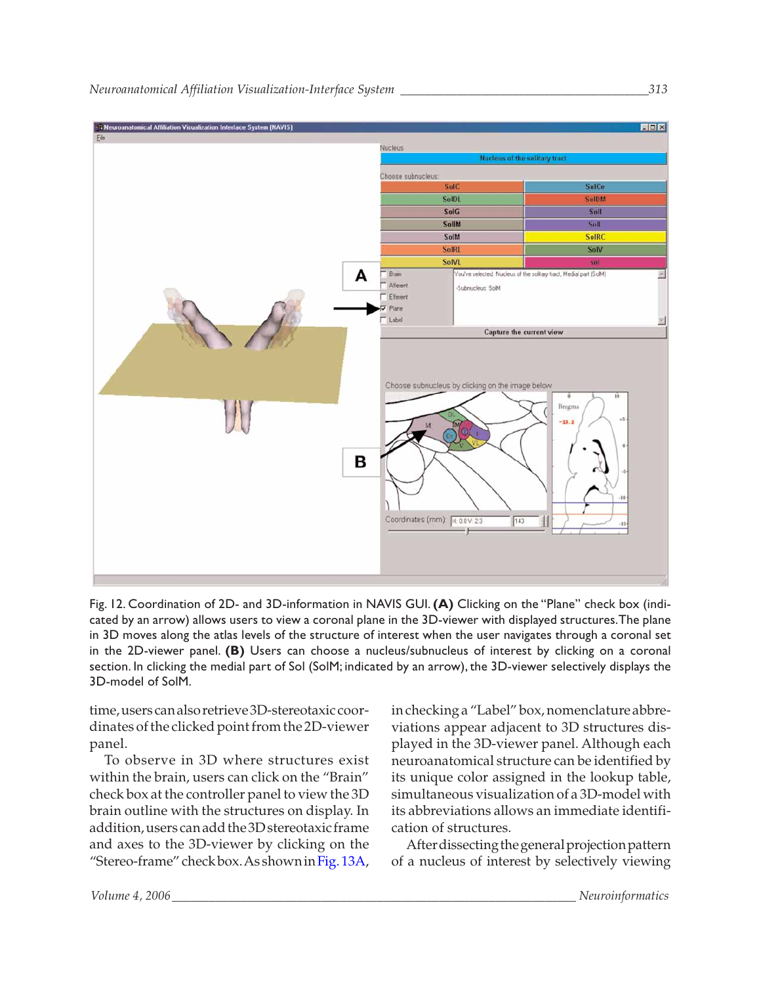<span id="page-14-0"></span>

Fig. 12. Coordination of 2D- and 3D-information in NAVIS GUI.**(A)** Clicking on the "Plane" check box (indicated by an arrow) allows users to view a coronal plane in the 3D-viewer with displayed structures.The plane in 3D moves along the atlas levels of the structure of interest when the user navigates through a coronal set in the 2D-viewer panel. **(B)** Users can choose a nucleus/subnucleus of interest by clicking on a coronal section. In clicking the medial part of Sol (SolM; indicated by an arrow), the 3D-viewer selectively displays the 3D-model of SolM.

time, users can also retrieve 3D-stereotaxic coordinates of the clicked point from the 2D-viewer panel.

To observe in 3D where structures exist within the brain, users can click on the "Brain" check box at the controller panel to view the 3D brain outline with the structures on display. In addition, users can add the 3D stereotaxic frame and axes to the 3D-viewer by clicking on the "Stereo-frame" check box. As shown in [Fig. 13A,](#page-15-0) in checking a "Label" box, nomenclature abbreviations appear adjacent to 3D structures displayed in the 3D-viewer panel. Although each neuroanatomical structure can be identified by its unique color assigned in the lookup table, simultaneous visualization of a 3D-model with its abbreviations allows an immediate identification of structures.

After dissecting the general projection pattern of a nucleus of interest by selectively viewing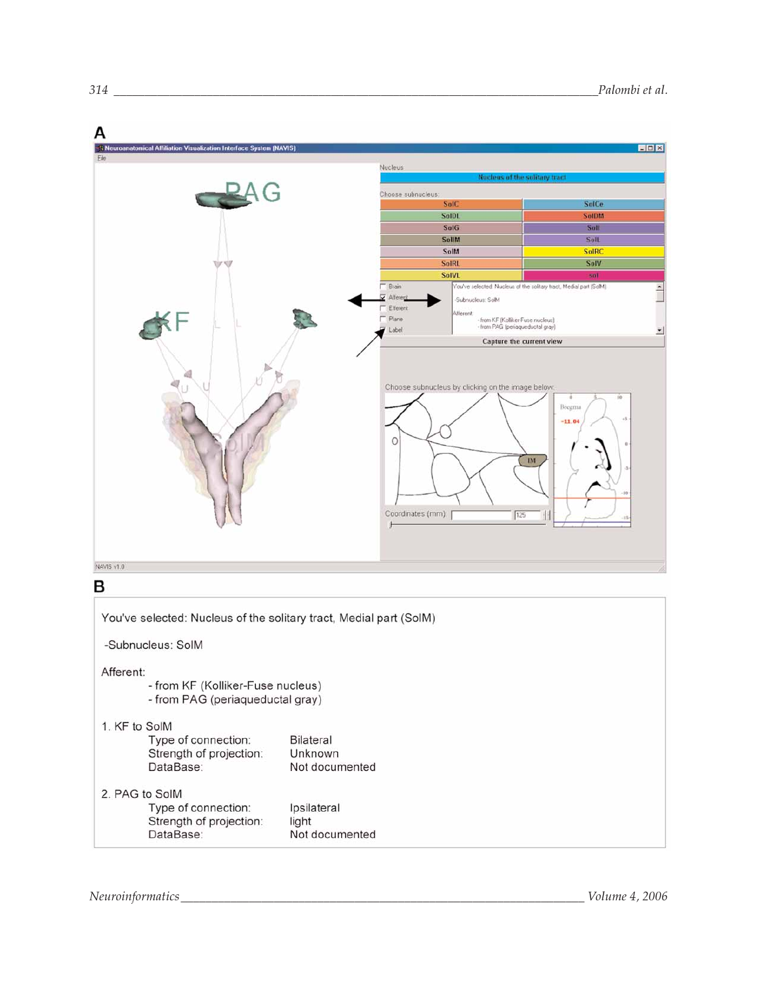<span id="page-15-0"></span>

Neuroinformatics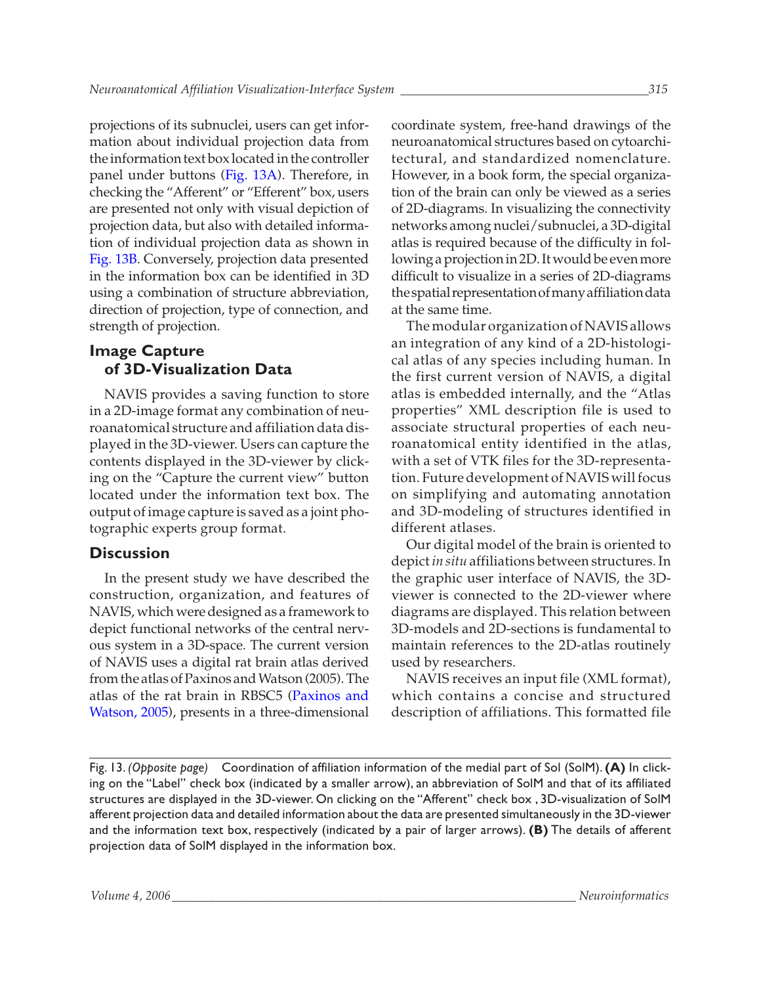projections of its subnuclei, users can get information about individual projection data from the information text box located in the controller panel under buttons [\(Fig. 13A\).](#page-15-0) Therefore, in checking the "Afferent" or "Efferent" box, users are presented not only with visual depiction of projection data, but also with detailed information of individual projection data as shown in [Fig. 13B.](#page-15-0) Conversely, projection data presented in the information box can be identified in 3D using a combination of structure abbreviation, direction of projection, type of connection, and strength of projection.

# **Image Capture of 3D-Visualization Data**

NAVIS provides a saving function to store in a 2D-image format any combination of neuroanatomical structure and affiliation data displayed in the 3D-viewer. Users can capture the contents displayed in the 3D-viewer by clicking on the "Capture the current view" button located under the information text box. The output of image capture is saved as a joint photographic experts group format.

# **Discussion**

In the present study we have described the construction, organization, and features of NAVIS, which were designed as a framework to depict functional networks of the central nervous system in a 3D-space. The current version of NAVIS uses a digital rat brain atlas derived from the atlas of Paxinos and Watson (2005). The atlas of the rat brain in RBSC5 [\(Paxinos and](#page-17-0) [Watson, 2005\),](#page-17-0) presents in a three-dimensional coordinate system, free-hand drawings of the neuroanatomical structures based on cytoarchitectural, and standardized nomenclature. However, in a book form, the special organization of the brain can only be viewed as a series of 2D-diagrams. In visualizing the connectivity networks among nuclei/subnuclei, a 3D-digital atlas is required because of the difficulty in following a projection in 2D. It would be even more difficult to visualize in a series of 2D-diagrams the spatial representation of many affiliation data at the same time.

The modular organization of NAVIS allows an integration of any kind of a 2D-histological atlas of any species including human. In the first current version of NAVIS, a digital atlas is embedded internally, and the "Atlas properties" XML description file is used to associate structural properties of each neuroanatomical entity identified in the atlas, with a set of VTK files for the 3D-representation. Future development of NAVIS will focus on simplifying and automating annotation and 3D-modeling of structures identified in different atlases.

Our digital model of the brain is oriented to depict *in situ* affiliations between structures. In the graphic user interface of NAVIS, the 3Dviewer is connected to the 2D-viewer where diagrams are displayed. This relation between 3D-models and 2D-sections is fundamental to maintain references to the 2D-atlas routinely used by researchers.

NAVIS receives an input file (XML format), which contains a concise and structured description of affiliations. This formatted file

Fig. 13. *(Opposite page)* Coordination of affiliation information of the medial part of Sol (SolM).**(A)** In clicking on the "Label" check box (indicated by a smaller arrow), an abbreviation of SolM and that of its affiliated structures are displayed in the 3D-viewer. On clicking on the "Afferent" check box , 3D-visualization of SolM afferent projection data and detailed information about the data are presented simultaneously in the 3D-viewer and the information text box, respectively (indicated by a pair of larger arrows). **(B)** The details of afferent projection data of SolM displayed in the information box.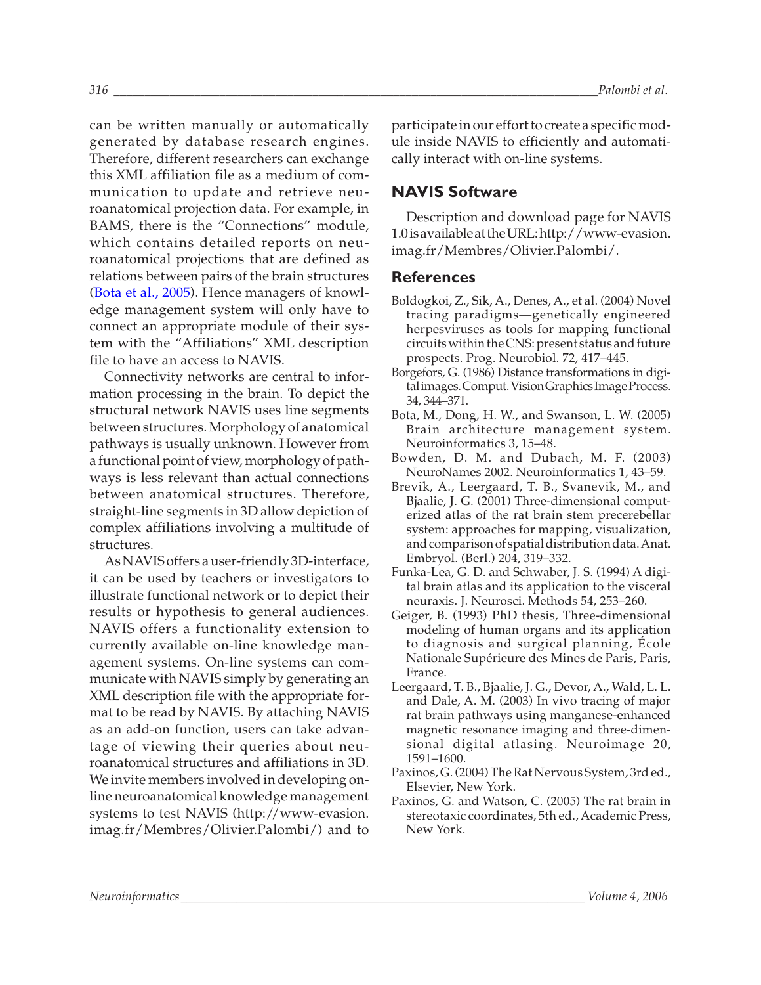can be written manually or automatically generated by database research engines. Therefore, different researchers can exchange this XML affiliation file as a medium of communication to update and retrieve neuroanatomical projection data. For example, in BAMS, there is the "Connections" module, which contains detailed reports on neuroanatomical projections that are defined as relations between pairs of the brain structures (Bota et al., 2005). Hence managers of knowledge management system will only have to connect an appropriate module of their system with the "Affiliations" XML description file to have an access to NAVIS.

Connectivity networks are central to information processing in the brain. To depict the structural network NAVIS uses line segments between structures. Morphology of anatomical pathways is usually unknown. However from a functional point of view, morphology of pathways is less relevant than actual connections between anatomical structures. Therefore, straight-line segments in 3D allow depiction of complex affiliations involving a multitude of structures.

As NAVIS offers a user-friendly 3D-interface, it can be used by teachers or investigators to illustrate functional network or to depict their results or hypothesis to general audiences. NAVIS offers a functionality extension to currently available on-line knowledge management systems. On-line systems can communicate with NAVIS simply by generating an XML description file with the appropriate format to be read by NAVIS. By attaching NAVIS as an add-on function, users can take advantage of viewing their queries about neuroanatomical structures and affiliations in 3D. We invite members involved in developing online neuroanatomical knowledge management systems to test NAVIS ([http://www-evasion.](http://www-evasion.imag.fr/Membres/Olivier.Palombi/) [imag.fr/Membres/Olivier.Palombi/\)](http://www-evasion.imag.fr/Membres/Olivier.Palombi/) and to

<span id="page-17-0"></span>*316 \_\_\_\_\_\_\_\_\_\_\_\_\_\_\_\_\_\_\_\_\_\_\_\_\_\_\_\_\_\_\_\_\_\_\_\_\_\_\_\_\_\_\_\_\_\_\_\_\_\_\_\_\_\_\_\_\_\_\_\_\_\_\_\_\_\_\_\_\_\_\_\_\_\_\_\_\_\_Palombi et al.*

participate in our effort to create a specific module inside NAVIS to efficiently and automatically interact with on-line systems.

# **NAVIS Software**

Description and download page for NAVIS 1.0 is available at the URL: [http://www-evasion](http://www-evasion.imag.fr/Membres/Olivier.Palombi/). [imag.fr/Membres/Olivier.Palombi/.](http://www-evasion.imag.fr/Membres/Olivier.Palombi/)

# **References**

- [Boldogkoi, Z., Sik, A., Denes, A., et al. \(2004\) Novel](http://www.ncbi.nlm.nih.gov/entrez/query.fcgi?itool=pubmed_AbstractPlus&cmd=Retrieve&db=pubmed&list_uids=15177785&dopt=Books) tracing paradigms—genetically engineered herpesviruses as tools for mapping functional circuits within the CNS: present status and future prospects. Prog. Neurobiol. 72, 417–445.
- Borgefors, G. (1986) Distance transformations in digital images. Comput. Vision Graphics Image Process. 34, 344–371.
- [Bota, M., Dong, H. W., and Swanson, L. W. \(2005\)](http://www.ncbi.nlm.nih.gov/entrez/query.fcgi?itool=pubmed_AbstractPlus&cmd=Retrieve&db=pubmed&list_uids=15897615&dopt=Books) Brain architecture management system. Neuroinformatics 3, 15–48.
- [Bowden, D. M. and Dubach, M. F. \(2003\)](http://www.ncbi.nlm.nih.gov/entrez/query.fcgi?itool=pubmed_AbstractPlus&cmd=Retrieve&db=pubmed&list_uids=15055392&dopt=Books) NeuroNames 2002. Neuroinformatics 1, 43–59.
- [Brevik, A., Leergaard, T. B., Svanevik, M., and](http://www.ncbi.nlm.nih.gov/entrez/query.fcgi?itool=pubmed_AbstractPlus&cmd=Retrieve&db=pubmed&list_uids=11720236&dopt=Books) Bjaalie, J. G. (2001) Three-dimensional computerized atlas of the rat brain stem precerebellar system: approaches for mapping, visualization, and comparison of spatial distribution data. Anat. Embryol. (Berl.) 204, 319–332.
- [Funka-Lea, G. D. and Schwaber, J. S. \(1994\) A digi](http://www.ncbi.nlm.nih.gov/entrez/query.fcgi?itool=pubmed_AbstractPlus&cmd=Retrieve&db=pubmed&list_uids=7869756&dopt=Books)tal brain atlas and its application to the visceral neuraxis. J. Neurosci. Methods 54, 253–260.
- Geiger, B. (1993) PhD thesis, Three-dimensional modeling of human organs and its application to diagnosis and surgical planning, École Nationale Supérieure des Mines de Paris, Paris, France.
- [Leergaard, T. B., Bjaalie, J. G., Devor, A., Wald, L. L.](http://www.ncbi.nlm.nih.gov/entrez/query.fcgi?itool=pubmed_AbstractPlus&cmd=Retrieve&db=pubmed&list_uids=14642470&dopt=Books) and Dale, A. M. (2003) In vivo tracing of major rat brain pathways using manganese-enhanced magnetic resonance imaging and three-dimensional digital atlasing. Neuroimage 20, 1591–1600.
- Paxinos, G. (2004) The Rat Nervous System, 3rd ed., Elsevier, New York.
- Paxinos, G. and Watson, C. (2005) The rat brain in stereotaxic coordinates, 5th ed., Academic Press, New York.